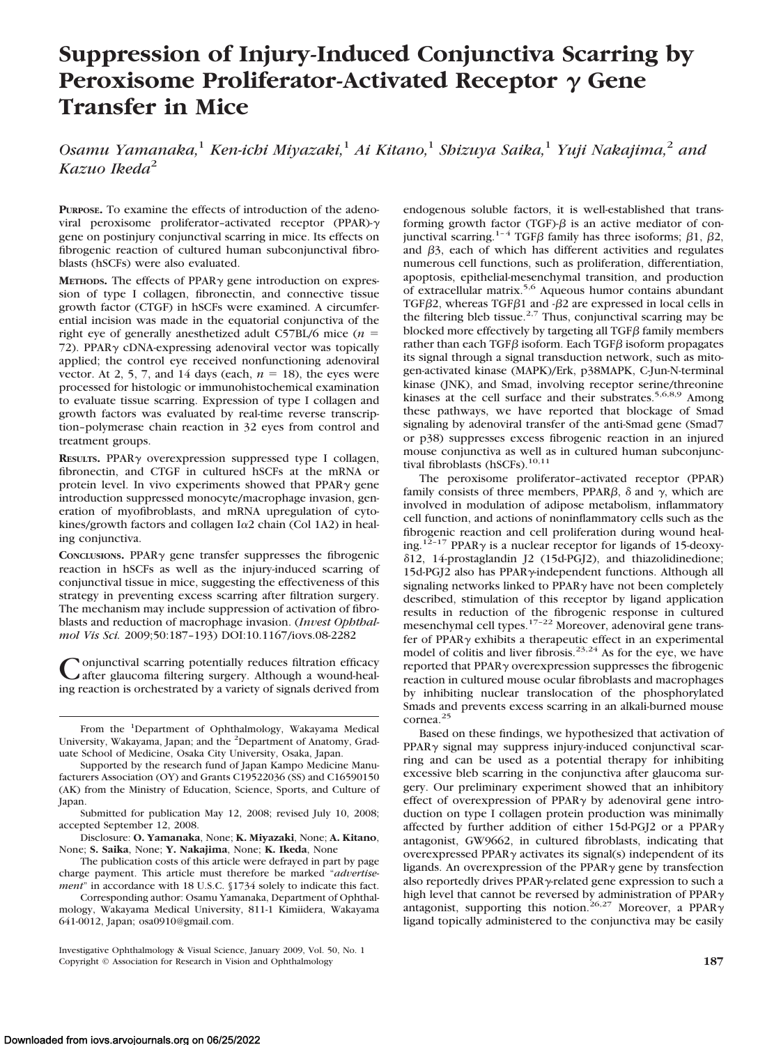# **Suppression of Injury-Induced Conjunctiva Scarring by Peroxisome Proliferator-Activated Receptor**  $γ$  Gene **Transfer in Mice**

*Osamu Yamanaka,*<sup>1</sup> *Ken-ichi Miyazaki,*<sup>1</sup> *Ai Kitano,*<sup>1</sup> *Shizuya Saika,*<sup>1</sup> *Yuji Nakajima,*<sup>2</sup> *and Kazuo Ikeda*<sup>2</sup>

**PURPOSE.** To examine the effects of introduction of the adenoviral peroxisome proliferator–activated receptor (PPAR) gene on postinjury conjunctival scarring in mice. Its effects on fibrogenic reaction of cultured human subconjunctival fibroblasts (hSCFs) were also evaluated.

METHODS. The effects of PPAR<sub>Y</sub> gene introduction on expression of type I collagen, fibronectin, and connective tissue growth factor (CTGF) in hSCFs were examined. A circumferential incision was made in the equatorial conjunctiva of the right eye of generally anesthetized adult C57BL/6 mice (*n* 72). PPAR $\gamma$  cDNA-expressing adenoviral vector was topically applied; the control eye received nonfunctioning adenoviral vector. At 2, 5, 7, and 14 days (each,  $n = 18$ ), the eyes were processed for histologic or immunohistochemical examination to evaluate tissue scarring. Expression of type I collagen and growth factors was evaluated by real-time reverse transcription–polymerase chain reaction in 32 eyes from control and treatment groups.

RESULTS. PPAR<sub>Y</sub> overexpression suppressed type I collagen, fibronectin, and CTGF in cultured hSCFs at the mRNA or protein level. In vivo experiments showed that  $PPAR\gamma$  gene introduction suppressed monocyte/macrophage invasion, generation of myofibroblasts, and mRNA upregulation of cytokines/growth factors and collagen  $I\alpha$ 2 chain (Col 1A2) in healing conjunctiva.

CONCLUSIONS. PPAR $\gamma$  gene transfer suppresses the fibrogenic reaction in hSCFs as well as the injury-induced scarring of conjunctival tissue in mice, suggesting the effectiveness of this strategy in preventing excess scarring after filtration surgery. The mechanism may include suppression of activation of fibroblasts and reduction of macrophage invasion. (*Invest Ophthalmol Vis Sci.* 2009;50:187–193) DOI:10.1167/iovs.08-2282

Conjunctival scarring potentially reduces filtration efficacy<br>
Cafter glaucoma filtering surgery. Although a wound-healing reaction is orchestrated by a variety of signals derived from

The publication costs of this article were defrayed in part by page charge payment. This article must therefore be marked "*advertisement*" in accordance with 18 U.S.C. §1734 solely to indicate this fact.

Corresponding author: Osamu Yamanaka, Department of Ophthalmology, Wakayama Medical University, 811-1 Kimiidera, Wakayama 641-0012, Japan; osa0910@gmail.com.

Investigative Ophthalmology & Visual Science, January 2009, Vol. 50, No. 1 Copyright © Association for Research in Vision and Ophthalmology **187**

endogenous soluble factors, it is well-established that transforming growth factor (TGF)- $\beta$  is an active mediator of conjunctival scarring.<sup>1–4</sup> TGFB family has three isoforms;  $\beta$ 1,  $\beta$ 2, and  $\beta$ 3, each of which has different activities and regulates numerous cell functions, such as proliferation, differentiation, apoptosis, epithelial-mesenchymal transition, and production of extracellular matrix.5,6 Aqueous humor contains abundant TGF $\beta$ 2, whereas TGF $\beta$ 1 and  $-\beta$ 2 are expressed in local cells in the filtering bleb tissue.<sup>2,7</sup> Thus, conjunctival scarring may be blocked more effectively by targeting all  $TGF\beta$  family members rather than each TGF $\beta$  isoform. Each TGF $\beta$  isoform propagates its signal through a signal transduction network, such as mitogen-activated kinase (MAPK)/Erk, p38MAPK, C-Jun-N-terminal kinase (JNK), and Smad, involving receptor serine/threonine kinases at the cell surface and their substrates.<sup>5,6,8,9</sup> Among these pathways, we have reported that blockage of Smad signaling by adenoviral transfer of the anti-Smad gene (Smad7 or p38) suppresses excess fibrogenic reaction in an injured mouse conjunctiva as well as in cultured human subconjunctival fibroblasts (hSCFs).<sup>10,11</sup>

The peroxisome proliferator–activated receptor (PPAR) family consists of three members, PPAR $\beta$ ,  $\delta$  and  $\gamma$ , which are involved in modulation of adipose metabolism, inflammatory cell function, and actions of noninflammatory cells such as the fibrogenic reaction and cell proliferation during wound healing.<sup>12–17</sup> PPAR $\gamma$  is a nuclear receptor for ligands of 15-deoxy-12, 14-prostaglandin J2 (15d-PGJ2), and thiazolidinedione; 15d-PGJ2 also has PPAR $\gamma$ -independent functions. Although all signaling networks linked to PPAR $\gamma$  have not been completely described, stimulation of this receptor by ligand application results in reduction of the fibrogenic response in cultured mesenchymal cell types.<sup>17–22</sup> Moreover, adenoviral gene transfer of PPAR $\gamma$  exhibits a therapeutic effect in an experimental model of colitis and liver fibrosis.<sup>23,24</sup> As for the eye, we have reported that PPAR<sub>Y</sub> overexpression suppresses the fibrogenic reaction in cultured mouse ocular fibroblasts and macrophages by inhibiting nuclear translocation of the phosphorylated Smads and prevents excess scarring in an alkali-burned mouse cornea.<sup>25</sup>

Based on these findings, we hypothesized that activation of  $PPAR\gamma$  signal may suppress injury-induced conjunctival scarring and can be used as a potential therapy for inhibiting excessive bleb scarring in the conjunctiva after glaucoma surgery. Our preliminary experiment showed that an inhibitory effect of overexpression of PPAR $\gamma$  by adenoviral gene introduction on type I collagen protein production was minimally affected by further addition of either 15d-PGJ2 or a PPAR $\gamma$ antagonist, GW9662, in cultured fibroblasts, indicating that overexpressed PPAR $\gamma$  activates its signal(s) independent of its ligands. An overexpression of the PPAR $\gamma$  gene by transfection also reportedly drives PPAR $\gamma$ -related gene expression to such a high level that cannot be reversed by administration of PPAR $\gamma$ antagonist, supporting this notion.<sup>26,27</sup> Moreover, a PPAR $\gamma$ ligand topically administered to the conjunctiva may be easily

From the <sup>1</sup>Department of Ophthalmology, Wakayama Medical University, Wakayama, Japan; and the <sup>2</sup>Department of Anatomy, Graduate School of Medicine, Osaka City University, Osaka, Japan.

Supported by the research fund of Japan Kampo Medicine Manufacturers Association (OY) and Grants C19522036 (SS) and C16590150 (AK) from the Ministry of Education, Science, Sports, and Culture of Japan.

Submitted for publication May 12, 2008; revised July 10, 2008; accepted September 12, 2008.

Disclosure: **O. Yamanaka**, None; **K. Miyazaki**, None; **A. Kitano**, None; **S. Saika**, None; **Y. Nakajima**, None; **K. Ikeda**, None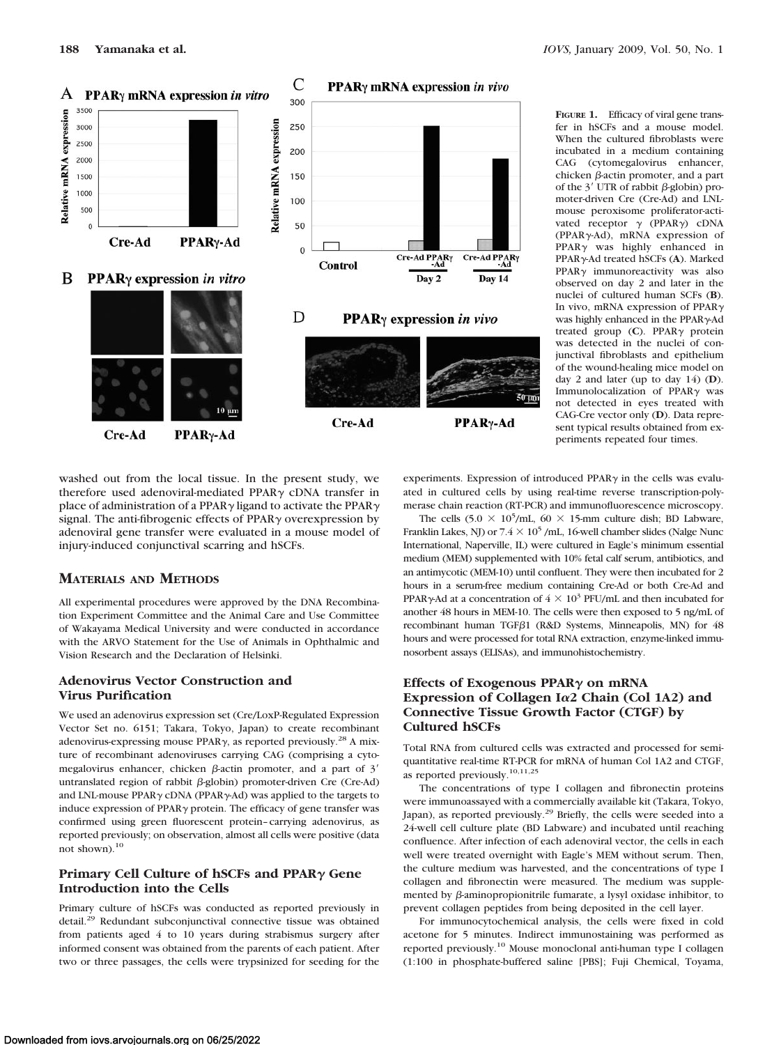

**FIGURE 1.** Efficacy of viral gene transfer in hSCFs and a mouse model. When the cultured fibroblasts were incubated in a medium containing CAG (cytomegalovirus enhancer, chicken  $\beta$ -actin promoter, and a part of the  $3'$  UTR of rabbit  $\beta$ -globin) promoter-driven Cre (Cre-Ad) and LNLmouse peroxisome proliferator-activated receptor  $\gamma$  (PPAR $\gamma$ ) cDNA (PPAR $\gamma$ -Ad), mRNA expression of  $PPAR<sub>\gamma</sub>$  was highly enhanced in PPARγ-Ad treated hSCFs (A). Marked  $PPAR<sub>Y</sub>$  immunoreactivity was also observed on day 2 and later in the nuclei of cultured human SCFs (**B**). In vivo, mRNA expression of PPAR $\gamma$ was highly enhanced in the PPARy-Ad treated group  $(C)$ . PPAR $\gamma$  protein was detected in the nuclei of conjunctival fibroblasts and epithelium of the wound-healing mice model on day 2 and later (up to day 14) (**D**). Immunolocalization of  $PPARv$  was not detected in eyes treated with CAG-Cre vector only (**D**). Data represent typical results obtained from experiments repeated four times.

washed out from the local tissue. In the present study, we therefore used adenoviral-mediated PPAR $\gamma$  cDNA transfer in place of administration of a PPAR $\gamma$  ligand to activate the PPAR $\gamma$ signal. The anti-fibrogenic effects of  $PPAR<sub>\gamma</sub>$  overexpression by adenoviral gene transfer were evaluated in a mouse model of injury-induced conjunctival scarring and hSCFs.

# **MATERIALS AND METHODS**

All experimental procedures were approved by the DNA Recombination Experiment Committee and the Animal Care and Use Committee of Wakayama Medical University and were conducted in accordance with the ARVO Statement for the Use of Animals in Ophthalmic and Vision Research and the Declaration of Helsinki.

# **Adenovirus Vector Construction and Virus Purification**

We used an adenovirus expression set (Cre/LoxP-Regulated Expression Vector Set no. 6151; Takara, Tokyo, Japan) to create recombinant adenovirus-expressing mouse PPAR $\gamma$ , as reported previously.<sup>28</sup> A mixture of recombinant adenoviruses carrying CAG (comprising a cytomegalovirus enhancer, chicken  $\beta$ -actin promoter, and a part of 3' untranslated region of rabbit  $\beta$ -globin) promoter-driven Cre (Cre-Ad) and LNL-mouse PPAR $\gamma$  cDNA (PPAR $\gamma$ -Ad) was applied to the targets to induce expression of PPAR $\gamma$  protein. The efficacy of gene transfer was confirmed using green fluorescent protein–carrying adenovirus, as reported previously; on observation, almost all cells were positive (data not shown).10

# **Primary Cell Culture of hSCFs and PPAR<sub>Y</sub> Gene Introduction into the Cells**

Primary culture of hSCFs was conducted as reported previously in detail.29 Redundant subconjunctival connective tissue was obtained from patients aged 4 to 10 years during strabismus surgery after informed consent was obtained from the parents of each patient. After two or three passages, the cells were trypsinized for seeding for the

experiments. Expression of introduced PPAR $\gamma$  in the cells was evaluated in cultured cells by using real-time reverse transcription-polymerase chain reaction (RT-PCR) and immunofluorescence microscopy.

The cells  $(5.0 \times 10^5/\text{mL}, 60 \times 15 \text{mm})$  culture dish; BD Labware, Franklin Lakes, NJ) or  $7.4 \times 10^5$  /mL, 16-well chamber slides (Nalge Nunc International, Naperville, IL) were cultured in Eagle's minimum essential medium (MEM) supplemented with 10% fetal calf serum, antibiotics, and an antimycotic (MEM-10) until confluent. They were then incubated for 2 hours in a serum-free medium containing Cre-Ad or both Cre-Ad and PPAR $\gamma$ -Ad at a concentration of  $4 \times 10^3$  PFU/mL and then incubated for another 48 hours in MEM-10. The cells were then exposed to 5 ng/mL of recombinant human TGF $\beta$ 1 (R&D Systems, Minneapolis, MN) for 48 hours and were processed for total RNA extraction, enzyme-linked immunosorbent assays (ELISAs), and immunohistochemistry.

## **Effects of Exogenous PPAR on mRNA Expression of Collagen I**-**2 Chain (Col 1A2) and Connective Tissue Growth Factor (CTGF) by Cultured hSCFs**

Total RNA from cultured cells was extracted and processed for semiquantitative real-time RT-PCR for mRNA of human Col 1A2 and CTGF, as reported previously.10,11,25

The concentrations of type I collagen and fibronectin proteins were immunoassayed with a commercially available kit (Takara, Tokyo, Japan), as reported previously.<sup>29</sup> Briefly, the cells were seeded into a 24-well cell culture plate (BD Labware) and incubated until reaching confluence. After infection of each adenoviral vector, the cells in each well were treated overnight with Eagle's MEM without serum. Then, the culture medium was harvested, and the concentrations of type I collagen and fibronectin were measured. The medium was supplemented by  $\beta$ -aminopropionitrile fumarate, a lysyl oxidase inhibitor, to prevent collagen peptides from being deposited in the cell layer.

For immunocytochemical analysis, the cells were fixed in cold acetone for 5 minutes. Indirect immunostaining was performed as reported previously.10 Mouse monoclonal anti-human type I collagen (1:100 in phosphate-buffered saline [PBS]; Fuji Chemical, Toyama,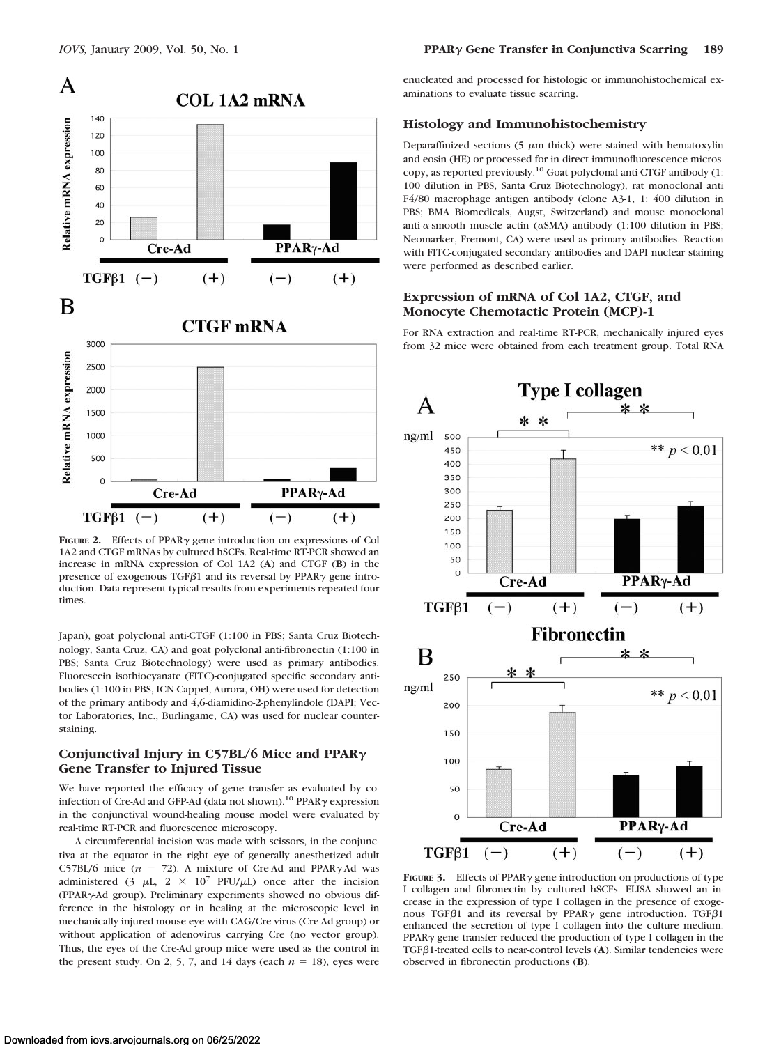

**FIGURE 2.** Effects of PPAR<sub> $\gamma$ </sub> gene introduction on expressions of Col 1A2 and CTGF mRNAs by cultured hSCFs. Real-time RT-PCR showed an increase in mRNA expression of Col 1A2 (**A**) and CTGF (**B**) in the presence of exogenous TGF $\beta$ 1 and its reversal by PPAR $\gamma$  gene introduction. Data represent typical results from experiments repeated four times.

Japan), goat polyclonal anti-CTGF (1:100 in PBS; Santa Cruz Biotechnology, Santa Cruz, CA) and goat polyclonal anti-fibronectin (1:100 in PBS; Santa Cruz Biotechnology) were used as primary antibodies. Fluorescein isothiocyanate (FITC)-conjugated specific secondary antibodies (1:100 in PBS, ICN-Cappel, Aurora, OH) were used for detection of the primary antibody and 4,6-diamidino-2-phenylindole (DAPI; Vector Laboratories, Inc., Burlingame, CA) was used for nuclear counterstaining.

## **Conjunctival Injury in C57BL/6 Mice and PPAR Gene Transfer to Injured Tissue**

We have reported the efficacy of gene transfer as evaluated by coinfection of Cre-Ad and GFP-Ad (data not shown).<sup>10</sup> PPAR $\gamma$  expression in the conjunctival wound-healing mouse model were evaluated by real-time RT-PCR and fluorescence microscopy.

A circumferential incision was made with scissors, in the conjunctiva at the equator in the right eye of generally anesthetized adult C57BL/6 mice  $(n = 72)$ . A mixture of Cre-Ad and PPAR $\gamma$ -Ad was administered (3  $\mu$ L, 2  $\times$  10<sup>7</sup> PFU/ $\mu$ L) once after the incision (PPAR<sub>Y</sub>-Ad group). Preliminary experiments showed no obvious difference in the histology or in healing at the microscopic level in mechanically injured mouse eye with CAG/Cre virus (Cre-Ad group) or without application of adenovirus carrying Cre (no vector group). Thus, the eyes of the Cre-Ad group mice were used as the control in the present study. On 2, 5, 7, and 14 days (each  $n = 18$ ), eyes were enucleated and processed for histologic or immunohistochemical examinations to evaluate tissue scarring.

#### **Histology and Immunohistochemistry**

Deparaffinized sections  $(5 \mu m)$  thick) were stained with hematoxylin and eosin (HE) or processed for in direct immunofluorescence microscopy, as reported previously.10 Goat polyclonal anti-CTGF antibody (1: 100 dilution in PBS, Santa Cruz Biotechnology), rat monoclonal anti F4/80 macrophage antigen antibody (clone A3-1, 1: 400 dilution in PBS; BMA Biomedicals, Augst, Switzerland) and mouse monoclonal anti- $\alpha$ -smooth muscle actin ( $\alpha$ SMA) antibody (1:100 dilution in PBS; Neomarker, Fremont, CA) were used as primary antibodies. Reaction with FITC-conjugated secondary antibodies and DAPI nuclear staining were performed as described earlier.

#### **Expression of mRNA of Col 1A2, CTGF, and Monocyte Chemotactic Protein (MCP)-1**

For RNA extraction and real-time RT-PCR, mechanically injured eyes from 32 mice were obtained from each treatment group. Total RNA



FIGURE 3. Effects of PPAR<sub>Y</sub> gene introduction on productions of type I collagen and fibronectin by cultured hSCFs. ELISA showed an increase in the expression of type I collagen in the presence of exogenous TGF $\beta$ 1 and its reversal by PPAR $\gamma$  gene introduction. TGF $\beta$ 1 enhanced the secretion of type I collagen into the culture medium.  $PPAR<sub>v</sub>$  gene transfer reduced the production of type I collagen in the TGF<sub>B1</sub>-treated cells to near-control levels (A). Similar tendencies were observed in fibronectin productions (**B**).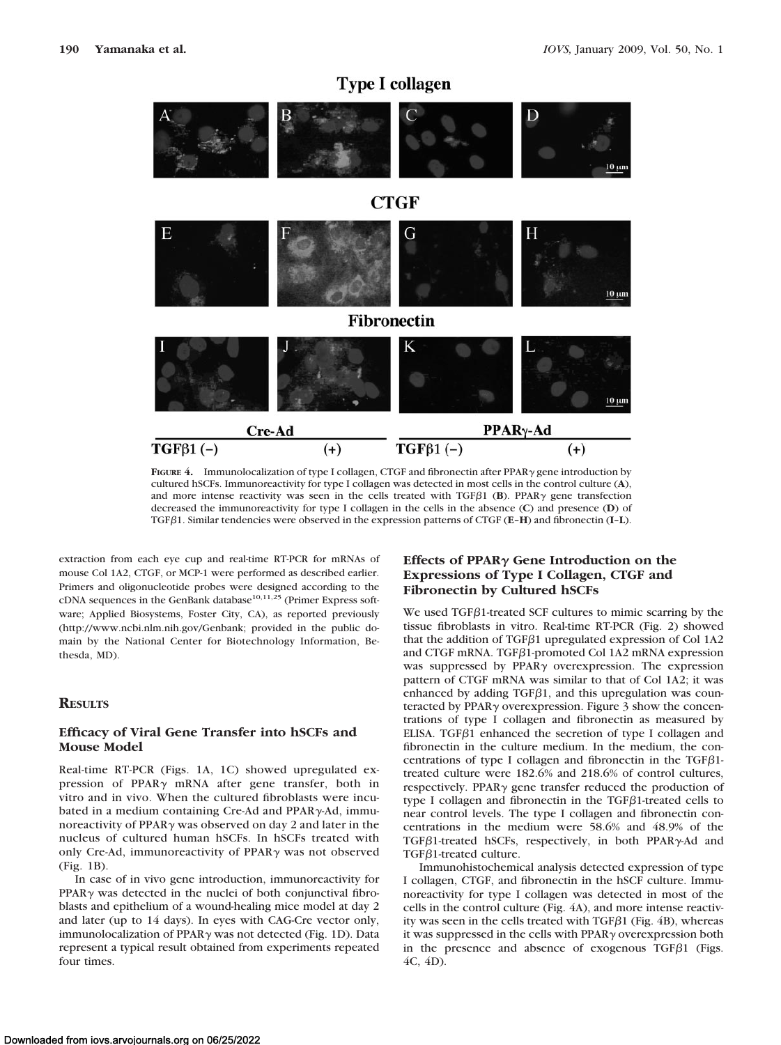# **Type I collagen**



cultured hSCFs. Immunoreactivity for type I collagen was detected in most cells in the control culture (**A**), and more intense reactivity was seen in the cells treated with  $TGF\beta1$  (**B**). PPAR $\gamma$  gene transfection decreased the immunoreactivity for type I collagen in the cells in the absence (**C**) and presence (**D**) of TGF1. Similar tendencies were observed in the expression patterns of CTGF (**E**–**H**) and fibronectin (**I**–**L**).

extraction from each eye cup and real-time RT-PCR for mRNAs of mouse Col 1A2, CTGF, or MCP-1 were performed as described earlier. Primers and oligonucleotide probes were designed according to the cDNA sequences in the GenBank database<sup>10,11,25</sup> (Primer Express software; Applied Biosystems, Foster City, CA), as reported previously (http://www.ncbi.nlm.nih.gov/Genbank; provided in the public domain by the National Center for Biotechnology Information, Bethesda, MD).

## **RESULTS**

#### **Efficacy of Viral Gene Transfer into hSCFs and Mouse Model**

Real-time RT-PCR (Figs. 1A, 1C) showed upregulated expression of PPAR $\gamma$  mRNA after gene transfer, both in vitro and in vivo. When the cultured fibroblasts were incubated in a medium containing Cre-Ad and PPAR $\gamma$ -Ad, immunoreactivity of PPAR $\gamma$  was observed on day 2 and later in the nucleus of cultured human hSCFs. In hSCFs treated with only Cre-Ad, immunoreactivity of PPAR $\gamma$  was not observed (Fig. 1B).

In case of in vivo gene introduction, immunoreactivity for  $PPAR<sub>\gamma</sub>$  was detected in the nuclei of both conjunctival fibroblasts and epithelium of a wound-healing mice model at day 2 and later (up to 14 days). In eyes with CAG-Cre vector only, immunolocalization of PPAR $\gamma$  was not detected (Fig. 1D). Data represent a typical result obtained from experiments repeated four times.

# Effects of PPAR<sub> $\gamma$ </sub> Gene Introduction on the **Expressions of Type I Collagen, CTGF and Fibronectin by Cultured hSCFs**

We used  $TGF\beta1$ -treated SCF cultures to mimic scarring by the tissue fibroblasts in vitro. Real-time RT-PCR (Fig. 2) showed that the addition of TGF $\beta$ 1 upregulated expression of Col 1A2 and CTGF mRNA. TGF $\beta$ 1-promoted Col 1A2 mRNA expression was suppressed by  $PPAR\gamma$  overexpression. The expression pattern of CTGF mRNA was similar to that of Col 1A2; it was enhanced by adding  $TGF\beta1$ , and this upregulation was counteracted by PPAR $\gamma$  overexpression. Figure 3 show the concentrations of type I collagen and fibronectin as measured by ELISA. TGF $\beta$ 1 enhanced the secretion of type I collagen and fibronectin in the culture medium. In the medium, the concentrations of type I collagen and fibronectin in the TGF $\beta$ 1treated culture were 182.6% and 218.6% of control cultures, respectively. PPAR $\gamma$  gene transfer reduced the production of type I collagen and fibronectin in the  $TGF\beta1$ -treated cells to near control levels. The type I collagen and fibronectin concentrations in the medium were 58.6% and 48.9% of the TGF $\beta$ 1-treated hSCFs, respectively, in both PPAR $\gamma$ -Ad and  $TGF\beta1$ -treated culture.

Immunohistochemical analysis detected expression of type I collagen, CTGF, and fibronectin in the hSCF culture. Immunoreactivity for type I collagen was detected in most of the cells in the control culture (Fig. 4A), and more intense reactivity was seen in the cells treated with  $TGF\beta1$  (Fig. 4B), whereas it was suppressed in the cells with  $PPAR\gamma$  overexpression both in the presence and absence of exogenous TGF $\beta$ 1 (Figs. 4C, 4D).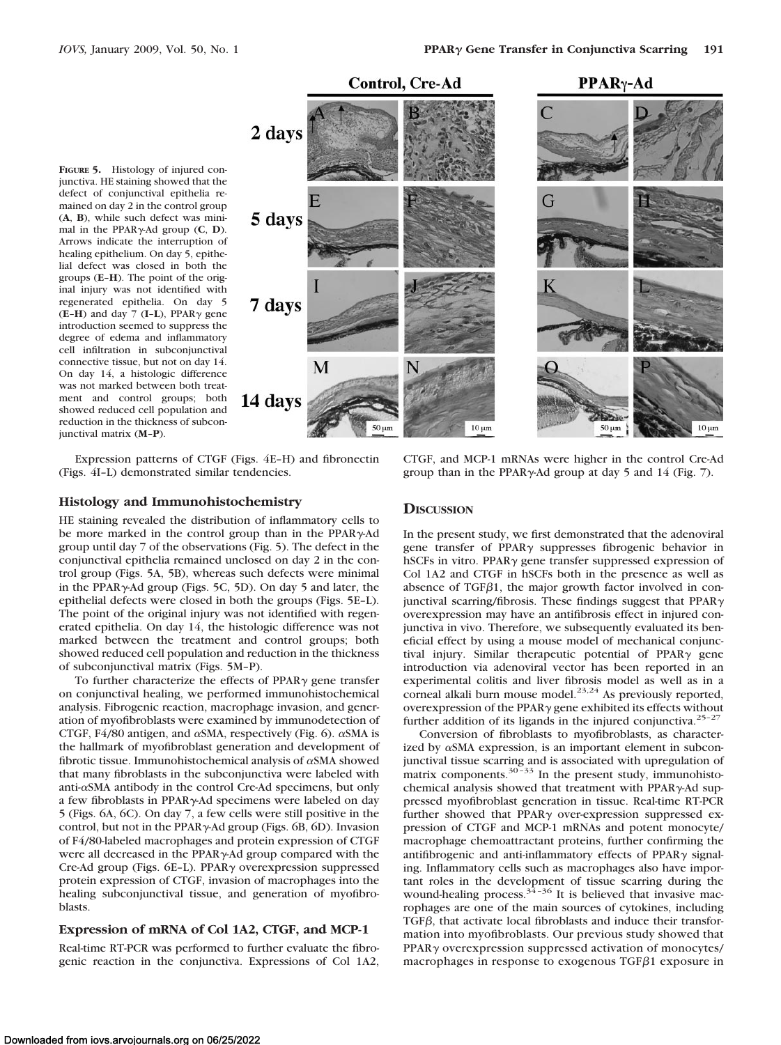

Expression patterns of CTGF (Figs. 4E–H) and fibronectin (Figs. 4I–L) demonstrated similar tendencies.

## **Histology and Immunohistochemistry**

junctival matrix (**M**–**P**).

HE staining revealed the distribution of inflammatory cells to be more marked in the control group than in the PPAR $\gamma$ -Ad group until day 7 of the observations (Fig. 5). The defect in the conjunctival epithelia remained unclosed on day 2 in the control group (Figs. 5A, 5B), whereas such defects were minimal in the PPAR $\gamma$ -Ad group (Figs. 5C, 5D). On day 5 and later, the epithelial defects were closed in both the groups (Figs. 5E–L). The point of the original injury was not identified with regenerated epithelia. On day 14, the histologic difference was not marked between the treatment and control groups; both showed reduced cell population and reduction in the thickness of subconjunctival matrix (Figs. 5M–P).

To further characterize the effects of PPAR $\gamma$  gene transfer on conjunctival healing, we performed immunohistochemical analysis. Fibrogenic reaction, macrophage invasion, and generation of myofibroblasts were examined by immunodetection of CTGF, F4/80 antigen, and  $\alpha$ SMA, respectively (Fig. 6).  $\alpha$ SMA is the hallmark of myofibroblast generation and development of fibrotic tissue. Immunohistochemical analysis of  $\alpha$ SMA showed that many fibroblasts in the subconjunctiva were labeled with anti- $\alpha$ SMA antibody in the control Cre-Ad specimens, but only a few fibroblasts in PPAR<sub>Y</sub>-Ad specimens were labeled on day 5 (Figs. 6A, 6C). On day 7, a few cells were still positive in the control, but not in the PPAR $\gamma$ -Ad group (Figs. 6B, 6D). Invasion of F4/80-labeled macrophages and protein expression of CTGF were all decreased in the PPAR<sub>Y</sub>-Ad group compared with the Cre-Ad group (Figs. 6E-L). PPAR $\gamma$  overexpression suppressed protein expression of CTGF, invasion of macrophages into the healing subconjunctival tissue, and generation of myofibroblasts.

### **Expression of mRNA of Col 1A2, CTGF, and MCP-1**

Real-time RT-PCR was performed to further evaluate the fibrogenic reaction in the conjunctiva. Expressions of Col 1A2,

#### CTGF, and MCP-1 mRNAs were higher in the control Cre-Ad group than in the PPAR $\gamma$ -Ad group at day 5 and 14 (Fig. 7).

#### **DISCUSSION**

In the present study, we first demonstrated that the adenoviral gene transfer of PPAR<sub>Y</sub> suppresses fibrogenic behavior in hSCFs in vitro. PPAR $\gamma$  gene transfer suppressed expression of Col 1A2 and CTGF in hSCFs both in the presence as well as absence of TGF $\beta$ 1, the major growth factor involved in conjunctival scarring/fibrosis. These findings suggest that  $PPAR\gamma$ overexpression may have an antifibrosis effect in injured conjunctiva in vivo. Therefore, we subsequently evaluated its beneficial effect by using a mouse model of mechanical conjunctival injury. Similar therapeutic potential of PPAR $\gamma$  gene introduction via adenoviral vector has been reported in an experimental colitis and liver fibrosis model as well as in a corneal alkali burn mouse model.<sup>23,24</sup> As previously reported, overexpression of the PPAR $\gamma$  gene exhibited its effects without further addition of its ligands in the injured conjunctiva.<sup>25-27</sup>

Conversion of fibroblasts to myofibroblasts, as characterized by  $\alpha$ SMA expression, is an important element in subconjunctival tissue scarring and is associated with upregulation of matrix components.30–33 In the present study, immunohistochemical analysis showed that treatment with PPAR $\gamma$ -Ad suppressed myofibroblast generation in tissue. Real-time RT-PCR further showed that PPAR $\gamma$  over-expression suppressed expression of CTGF and MCP-1 mRNAs and potent monocyte/ macrophage chemoattractant proteins, further confirming the antifibrogenic and anti-inflammatory effects of PPAR $\gamma$  signaling. Inflammatory cells such as macrophages also have important roles in the development of tissue scarring during the wound-healing process. $3^{4-36}$  It is believed that invasive macrophages are one of the main sources of cytokines, including  $TGF\beta$ , that activate local fibroblasts and induce their transformation into myofibroblasts. Our previous study showed that  $PPAR<sub>\gamma</sub>$  overexpression suppressed activation of monocytes/ macrophages in response to exogenous  $TGF\beta1$  exposure in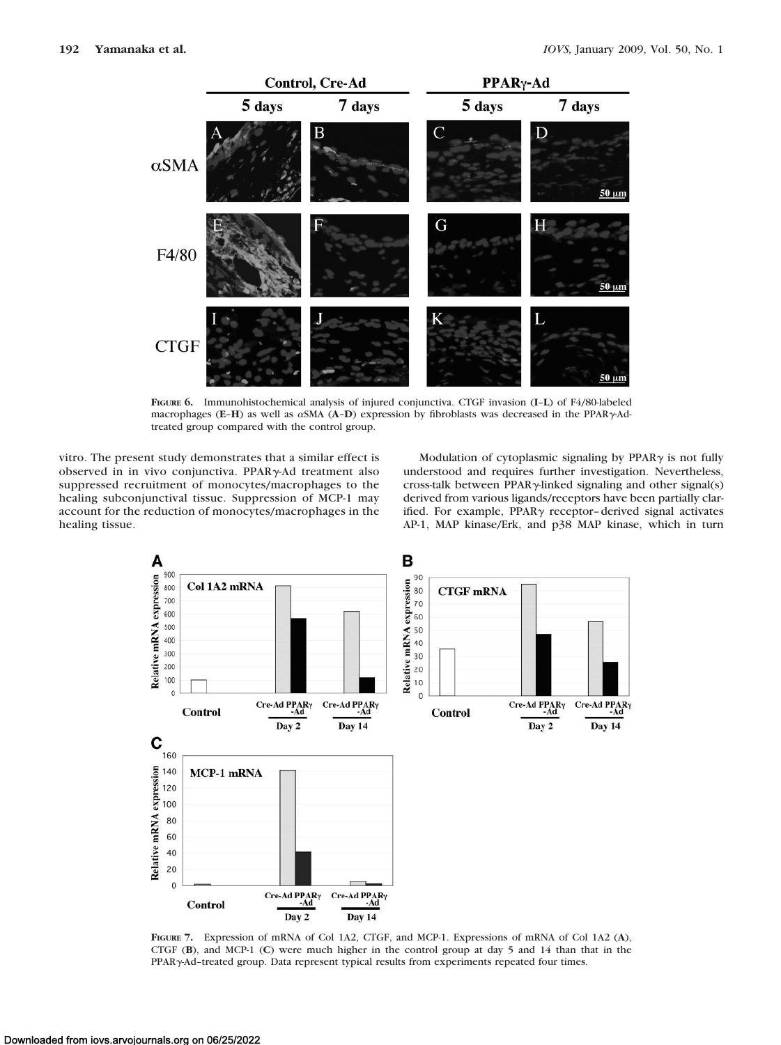

**FIGURE 6.** Immunohistochemical analysis of injured conjunctiva. CTGF invasion (**I**–**L**) of F4/80-labeled macrophages (E-H) as well as αSMA (A-D) expression by fibroblasts was decreased in the PPARγ-Adtreated group compared with the control group.

vitro. The present study demonstrates that a similar effect is observed in in vivo conjunctiva. PPARy-Ad treatment also suppressed recruitment of monocytes/macrophages to the healing subconjunctival tissue. Suppression of MCP-1 may account for the reduction of monocytes/macrophages in the healing tissue.

Modulation of cytoplasmic signaling by  $PPAR\gamma$  is not fully understood and requires further investigation. Nevertheless, cross-talk between PPAR $\gamma$ -linked signaling and other signal(s) derived from various ligands/receptors have been partially clarified. For example, PPAR $\gamma$  receptor-derived signal activates AP-1, MAP kinase/Erk, and p38 MAP kinase, which in turn



**FIGURE 7.** Expression of mRNA of Col 1A2, CTGF, and MCP-1. Expressions of mRNA of Col 1A2 (**A**), CTGF (**B**), and MCP-1 (**C**) were much higher in the control group at day 5 and 14 than that in the PPAR<sub>Y</sub>-Ad-treated group. Data represent typical results from experiments repeated four times.